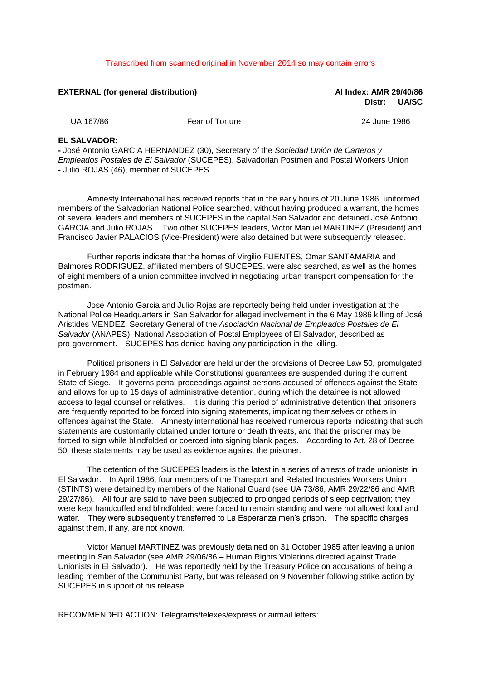## Transcribed from scanned original in November 2014 so may contain errors

**EXTERNAL (for general distribution) AI Index: AMR 29/40/86 Distr: UA/SC**

UA 167/86 Fear of Torture 24 June 1986

## **EL SALVADOR:**

**-** José Antonio GARCIA HERNANDEZ (30), Secretary of the *Sociedad Unión de Carteros y Empleados Postales de El Salvador* (SUCEPES), Salvadorian Postmen and Postal Workers Union - Julio ROJAS (46), member of SUCEPES

Amnesty International has received reports that in the early hours of 20 June 1986, uniformed members of the Salvadorian National Police searched, without having produced a warrant, the homes of several leaders and members of SUCEPES in the capital San Salvador and detained José Antonio GARCIA and Julio ROJAS. Two other SUCEPES leaders, Victor Manuel MARTINEZ (President) and Francisco Javier PALACIOS (Vice-President) were also detained but were subsequently released.

Further reports indicate that the homes of Virgilio FUENTES, Omar SANTAMARIA and Balmores RODRIGUEZ, affiliated members of SUCEPES, were also searched, as well as the homes of eight members of a union committee involved in negotiating urban transport compensation for the postmen.

José Antonio Garcia and Julio Rojas are reportedly being held under investigation at the National Police Headquarters in San Salvador for alleged involvement in the 6 May 1986 killing of José Aristides MENDEZ, Secretary General of the *Asociación Nacional de Empleados Postales de El Salvador* (ANAPES), National Association of Postal Employees of El Salvador, described as pro-government. SUCEPES has denied having any participation in the killing.

Political prisoners in El Salvador are held under the provisions of Decree Law 50, promulgated in February 1984 and applicable while Constitutional guarantees are suspended during the current State of Siege. It governs penal proceedings against persons accused of offences against the State and allows for up to 15 days of administrative detention, during which the detainee is not allowed access to legal counsel or relatives. It is during this period of administrative detention that prisoners are frequently reported to be forced into signing statements, implicating themselves or others in offences against the State. Amnesty international has received numerous reports indicating that such statements are customarily obtained under torture or death threats, and that the prisoner may be forced to sign while blindfolded or coerced into signing blank pages. According to Art. 28 of Decree 50, these statements may be used as evidence against the prisoner.

The detention of the SUCEPES leaders is the latest in a series of arrests of trade unionists in El Salvador. In April 1986, four members of the Transport and Related Industries Workers Union (STINTS) were detained by members of the National Guard (see UA 73/86, AMR 29/22/86 and AMR 29/27/86). All four are said to have been subjected to prolonged periods of sleep deprivation; they were kept handcuffed and blindfolded; were forced to remain standing and were not allowed food and water. They were subsequently transferred to La Esperanza men's prison. The specific charges against them, if any, are not known.

Victor Manuel MARTINEZ was previously detained on 31 October 1985 after leaving a union meeting in San Salvador (see AMR 29/06/86 – Human Rights Violations directed against Trade Unionists in El Salvador). He was reportedly held by the Treasury Police on accusations of being a leading member of the Communist Party, but was released on 9 November following strike action by SUCEPES in support of his release.

RECOMMENDED ACTION: Telegrams/telexes/express or airmail letters: